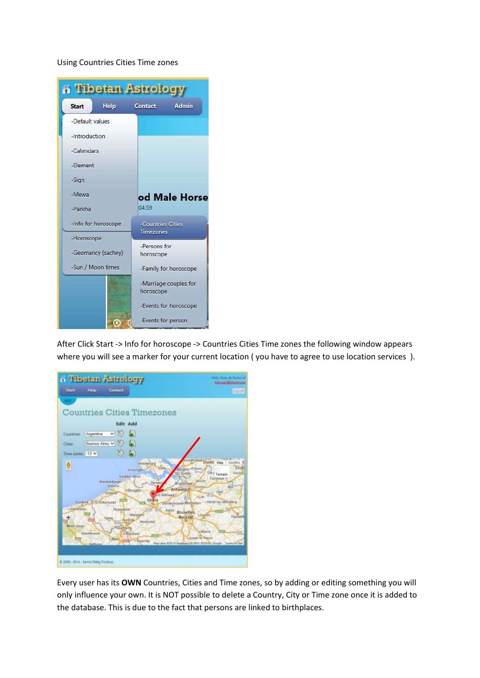## Using Countries Cities Time zones

| <b>A Tibetan Astrology</b> |                     |                       |  |  |
|----------------------------|---------------------|-----------------------|--|--|
| <b>Start</b>               | Help                | Admin<br>Contact      |  |  |
| -Default values            |                     |                       |  |  |
| -Introduction              |                     |                       |  |  |
| -Calendars                 |                     |                       |  |  |
| -Flement                   |                     |                       |  |  |
| -Sign                      |                     |                       |  |  |
| -Mewa                      |                     | od Male Horse         |  |  |
| -Parkha                    |                     | 04:59                 |  |  |
|                            | -Info for horoscope | -Countries Cities     |  |  |
| -Horoscope                 |                     | <b>Timezones</b>      |  |  |
| -Geomancy (sachey)         |                     | -Persons for          |  |  |
|                            |                     | horoscope             |  |  |
| -Sun / Moon times          |                     | -Family for horoscope |  |  |
|                            |                     | -Marriage couples for |  |  |
|                            |                     | horoscope             |  |  |
|                            |                     | -Events for horoscope |  |  |
|                            |                     | -Events for person    |  |  |

After Click Start -> Info for horoscope -> Countries Cities Time zones the following window appears where you will see a marker for your current location ( you have to agree to use location services ).

| <b>Tibetan Astrology</b>                                                                                                                                                                                                        | Helio Kiers de Hobel in<br><b>Advised Valencia</b>                                                                                                                                                                                                                                                                                                                                                                                                                                                                                                                                                                                                                                                                |
|---------------------------------------------------------------------------------------------------------------------------------------------------------------------------------------------------------------------------------|-------------------------------------------------------------------------------------------------------------------------------------------------------------------------------------------------------------------------------------------------------------------------------------------------------------------------------------------------------------------------------------------------------------------------------------------------------------------------------------------------------------------------------------------------------------------------------------------------------------------------------------------------------------------------------------------------------------------|
| <b>Help</b><br>Contact<br>Start.                                                                                                                                                                                                | <b>Sopon</b>                                                                                                                                                                                                                                                                                                                                                                                                                                                                                                                                                                                                                                                                                                      |
| KDT                                                                                                                                                                                                                             |                                                                                                                                                                                                                                                                                                                                                                                                                                                                                                                                                                                                                                                                                                                   |
| <b>Countries Cities Timezones</b>                                                                                                                                                                                               |                                                                                                                                                                                                                                                                                                                                                                                                                                                                                                                                                                                                                                                                                                                   |
|                                                                                                                                                                                                                                 | <b>Edit Add</b>                                                                                                                                                                                                                                                                                                                                                                                                                                                                                                                                                                                                                                                                                                   |
| Argentina<br>Courmies.                                                                                                                                                                                                          |                                                                                                                                                                                                                                                                                                                                                                                                                                                                                                                                                                                                                                                                                                                   |
| <b>Buenos Alres V</b><br><b>Cities</b>                                                                                                                                                                                          |                                                                                                                                                                                                                                                                                                                                                                                                                                                                                                                                                                                                                                                                                                                   |
| Time coney, 1-12 V                                                                                                                                                                                                              |                                                                                                                                                                                                                                                                                                                                                                                                                                                                                                                                                                                                                                                                                                                   |
| Blanketberger<br>firstene<br>distant<br>Dunkers MillyCrasmulde<br>Gitase ines<br><b>Please inflate</b><br>Yares<br>AV <sub>3</sub><br><b>HARRY LIBRARY</b><br><b>Tiluming</b><br>Highlymick<br>Lilleu<br>σı<br><b>Turbuiste</b> | cosendant Stocks Map berellin<br><b>Middelburg</b><br>Estutt<br>libes<br><b>EXCIPT</b><br>Villablingen.<br><b>b</b> Zoon<br>tieste<br>Terrais<br>Encéder-Heirist<br>Turnimous<br><b>Horcht</b><br>Terrieur<br><b>Missachuve</b><br><b>Safernee</b><br>мū<br>Antwerp <b>5</b><br><b>OBruges</b><br><b>Ceel</b><br>er-röhlunt<br>313<br><b>Eler</b><br>Ghent<br>Desdermonde Mechelen - Heist-op-den-Berg<br>б<br><b>SIA</b> AU<br><b>TAXY</b><br>Agist Bruselles<br>Warmpers<br>Linumn.<br>Hasbelt<br>Brussel<br>Konik<br>ъ<br>Magnesiul<br><b>U WEIGHT</b><br><b>GHE</b><br>Houbara<br>(iii)<br>Lounger Ia-Neuvel<br><b>Charles of Tournal</b><br>Map date EDIT4 Decisions (EC/Still NISHMA, Seegle: Taxma of Line |
| @ 2009 - 3014 - Karna Deleg Tononup                                                                                                                                                                                             |                                                                                                                                                                                                                                                                                                                                                                                                                                                                                                                                                                                                                                                                                                                   |

Every user has its **OWN** Countries, Cities and Time zones, so by adding or editing something you will only influence your own. It is NOT possible to delete a Country, City or Time zone once it is added to the database. This is due to the fact that persons are linked to birthplaces.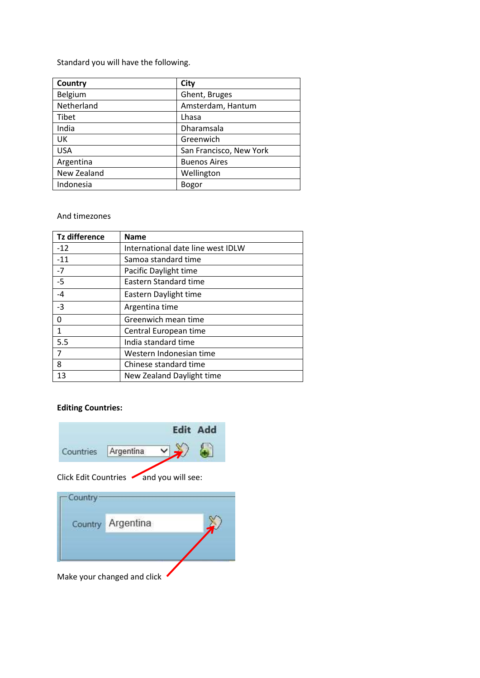Standard you will have the following.

| Country      | City                    |  |
|--------------|-------------------------|--|
| Belgium      | Ghent, Bruges           |  |
| Netherland   | Amsterdam, Hantum       |  |
| <b>Tibet</b> | Lhasa                   |  |
| India        | Dharamsala              |  |
| UK           | Greenwich               |  |
| <b>USA</b>   | San Francisco, New York |  |
| Argentina    | <b>Buenos Aires</b>     |  |
| New Zealand  | Wellington              |  |
| Indonesia    | Bogor                   |  |

### And timezones

| Tz difference | <b>Name</b>                       |
|---------------|-----------------------------------|
| $-12$         | International date line west IDLW |
| $-11$         | Samoa standard time               |
| $-7$          | Pacific Daylight time             |
| $-5$          | Eastern Standard time             |
| $-4$          | Eastern Daylight time             |
| $-3$          | Argentina time                    |
| 0             | Greenwich mean time               |
| 1             | Central European time             |
| 5.5           | India standard time               |
| 7             | Western Indonesian time           |
| 8             | Chinese standard time             |
| 13            | New Zealand Daylight time         |

# **Editing Countries:**



Make your changed and click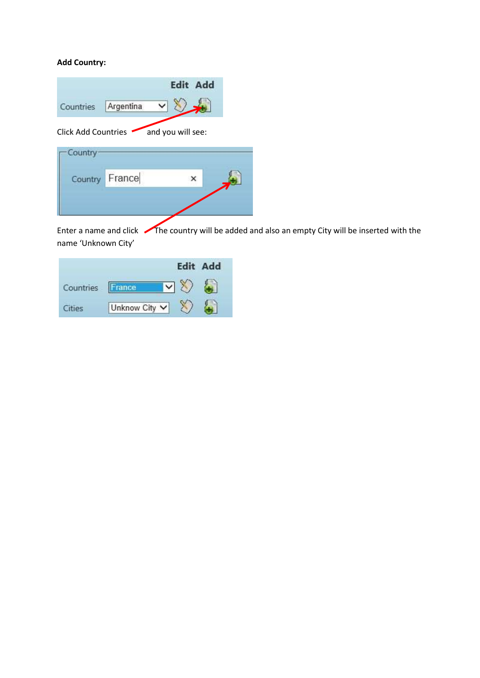# **Add Country:**



Enter a name and click The country will be added and also an empty City will be inserted with the name 'Unknown City'

|           |               | <b>Edit Add</b> |
|-----------|---------------|-----------------|
| Countries | ance          |                 |
| P<        | Unknow City V |                 |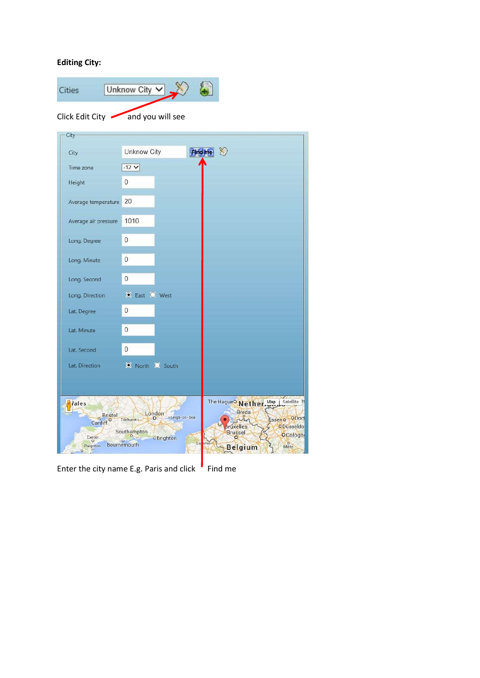## **Editing City:**



Enter the city name E.g. Paris and click  $\overline{F}$  Find me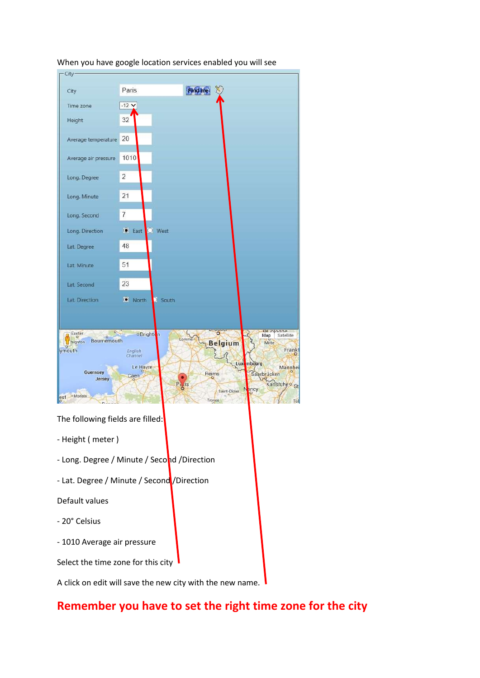

### When you have google location services enabled you will see

The following fields are filled:

- Height ( meter )
- Long. Degree / Minute / Second / Direction
- Lat. Degree / Minute / Second / Direction

Default values

- 20° Celsius
- 1010 Average air pressure

Select the time zone for this city

A click on edit will save the new city with the new name.

# **Remember you have to set the right time zone for the city**